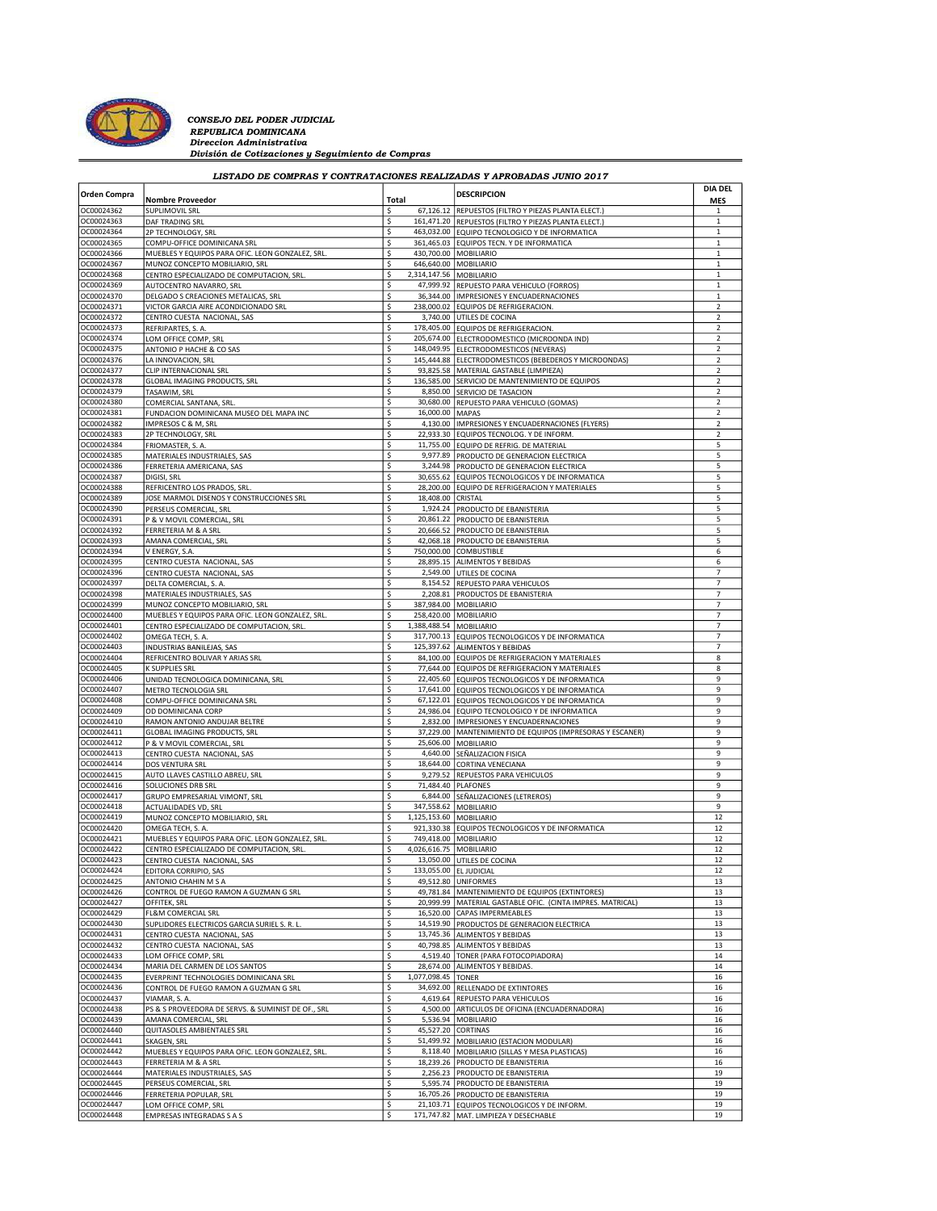

CONSEJO DEL PODER JUDICIAL<br>REPUBLICA DOMINICANA<br>Direccion Administrativa División de Cotizaciones y Seguimiento de Compras

## LISTADO DE COMPRAS Y CONTRATACIONES REALIZADAS Y APROBADAS JUNIO 2017

| <b>Orden Compra</b>      | <b>Nombre Proveedor</b>                                                           | Total    |                         | <b>DESCRIPCION</b>                                                                                 | <b>DIA DEL</b><br><b>MES</b> |  |
|--------------------------|-----------------------------------------------------------------------------------|----------|-------------------------|----------------------------------------------------------------------------------------------------|------------------------------|--|
| OC00024362               | <b>SUPLIMOVIL SRL</b>                                                             | \$       |                         | 67,126.12 REPUESTOS (FILTRO Y PIEZAS PLANTA ELECT.)                                                | 1                            |  |
| OC00024363               | DAF TRADING SRL                                                                   | \$       |                         | 161,471.20 REPUESTOS (FILTRO Y PIEZAS PLANTA ELECT.                                                | $\mathbf{1}$                 |  |
| OC00024364               | 2P TECHNOLOGY, SRL                                                                | \$       |                         | 463,032.00 EQUIPO TECNOLOGICO Y DE INFORMATICA                                                     | $\mathbf 1$                  |  |
| OC00024365<br>OC00024366 | COMPU-OFFICE DOMINICANA SRL<br>MUEBLES Y EQUIPOS PARA OFIC. LEON GONZALEZ, SRL    | \$<br>\$ |                         | 361,465.03 EQUIPOS TECN. Y DE INFORMATICA<br>430,700.00   MOBILIARIO                               | $\mathbf{1}$<br>1            |  |
| OC00024367               | MUNOZ CONCEPTO MOBILIARIO, SRL                                                    | \$       | 646,640.00              | MOBILIARIO                                                                                         | $\mathbf{1}$                 |  |
| OC00024368               | CENTRO ESPECIALIZADO DE COMPUTACION, SRL                                          | \$       | 2,314,147.56            | MOBILIARIO                                                                                         | $\mathbf{1}$                 |  |
| OC00024369               | AUTOCENTRO NAVARRO, SRL                                                           | \$       |                         | 47,999.92 REPUESTO PARA VEHICULO (FORROS)                                                          | 1                            |  |
| OC00024370               | DELGADO S CREACIONES METALICAS, SRL                                               | \$<br>\$ | 36,344.00               | IMPRESIONES Y ENCUADERNACIONES                                                                     | $\mathbf{1}$<br>2            |  |
| OC00024371<br>OC00024372 | VICTOR GARCIA AIRE ACONDICIONADO SRL<br>CENTRO CUESTA NACIONAL, SAS               | \$       |                         | 238,000.02 EQUIPOS DE REFRIGERACION.<br>3,740.00 UTILES DE COCINA                                  | 2                            |  |
| OC00024373               | REFRIPARTES, S. A.                                                                | \$       |                         | 178,405.00 EQUIPOS DE REFRIGERACION.                                                               | $\overline{2}$               |  |
| OC00024374               | LOM OFFICE COMP, SRL                                                              | \$       |                         | 205,674.00 ELECTRODOMESTICO (MICROONDA IND)                                                        | $\overline{\mathbf{c}}$      |  |
| OC00024375               | ANTONIO P HACHE & CO SAS                                                          | \$       |                         | 148,049.95 ELECTRODOMESTICOS (NEVERAS)                                                             | 2                            |  |
| OC00024376<br>OC00024377 | LA INNOVACION, SRL                                                                | \$<br>\$ | 93,825.58               | 145,444.88 ELECTRODOMESTICOS (BEBEDEROS Y MICROONDAS)<br>MATERIAL GASTABLE (LIMPIEZA)              | 2<br>$\overline{\mathbf{c}}$ |  |
| OC00024378               | CLIP INTERNACIONAL SRL<br>GLOBAL IMAGING PRODUCTS, SRL                            | \$       |                         | 136,585.00 SERVICIO DE MANTENIMIENTO DE EQUIPOS                                                    | 2                            |  |
| OC00024379               | TASAWIM, SRL                                                                      | \$       |                         | 8,850.00 SERVICIO DE TASACION                                                                      | 2                            |  |
| OC00024380               | COMERCIAL SANTANA, SRL                                                            | \$       |                         | 30,680.00 REPUESTO PARA VEHICULO (GOMAS)                                                           | $\overline{\mathbf{c}}$      |  |
| OC00024381               | FUNDACION DOMINICANA MUSEO DEL MAPA INC                                           | \$       | 16,000.00 MAPAS         |                                                                                                    | $\overline{\mathbf{c}}$      |  |
| OC00024382<br>OC00024383 | IMPRESOS C & M, SRL<br>2P TECHNOLOGY, SRL                                         | \$<br>\$ |                         | 4,130.00   IMPRESIONES Y ENCUADERNACIONES (FLYERS)<br>22,933.30 EQUIPOS TECNOLOG. Y DE INFORM.     | 2<br>$\overline{\mathbf{c}}$ |  |
| OC00024384               | FRIOMASTER, S. A.                                                                 | \$       |                         | 11,755.00 EQUIPO DE REFRIG. DE MATERIAL                                                            | 5                            |  |
| OC00024385               | MATERIALES INDUSTRIALES, SAS                                                      | \$       |                         | 9,977.89 PRODUCTO DE GENERACION ELECTRICA                                                          | 5                            |  |
| OC00024386               | FERRETERIA AMERICANA, SAS                                                         | \$       | 3,244.98                | <b>PRODUCTO DE GENERACION ELECTRICA</b>                                                            | 5                            |  |
| OC00024387               | DIGISI, SRL                                                                       | \$       |                         | 30,655.62 EQUIPOS TECNOLOGICOS Y DE INFORMATICA                                                    | 5                            |  |
| OC00024388<br>OC00024389 | REFRICENTRO LOS PRADOS, SRL<br>JOSE MARMOL DISENOS Y CONSTRUCCIONES SRL           | \$<br>\$ | 18,408.00               | 28,200.00 EQUIPO DE REFRIGERACION Y MATERIALES<br>CRISTAL                                          | 5<br>5                       |  |
| OC00024390               | PERSEUS COMERCIAL, SRL                                                            | \$       |                         | 1,924.24 PRODUCTO DE EBANISTERIA                                                                   | 5                            |  |
| OC00024391               | P & V MOVIL COMERCIAL, SRL                                                        | \$       |                         | 20,861.22 PRODUCTO DE EBANISTERIA                                                                  | 5                            |  |
| OC00024392               | FERRETERIA M & A SRL                                                              | \$       | 20,666.52               | PRODUCTO DE EBANISTERIA                                                                            | 5                            |  |
| OC00024393<br>OC00024394 | AMANA COMERCIAL, SRL                                                              | \$<br>\$ |                         | 42,068.18 PRODUCTO DE EBANISTERIA<br>750,000.00 COMBUSTIBLE                                        | 5<br>6                       |  |
| OC00024395               | V ENERGY, S.A.<br>CENTRO CUESTA NACIONAL, SAS                                     | \$       | 28,895.15               | ALIMENTOS Y BEBIDAS                                                                                | 6                            |  |
| OC00024396               | CENTRO CUESTA NACIONAL, SAS                                                       | \$       |                         | 2,549.00 UTILES DE COCINA                                                                          | 7                            |  |
| OC00024397               | DELTA COMERCIAL, S. A.                                                            | \$       |                         | 8,154.52 REPUESTO PARA VEHICULOS                                                                   | $\overline{7}$               |  |
| OC00024398               | MATERIALES INDUSTRIALES, SAS                                                      | \$       |                         | 2,208.81   PRODUCTOS DE EBANISTERIA                                                                | 7                            |  |
| OC00024399<br>OC00024400 | MUNOZ CONCEPTO MOBILIARIO, SRL<br>MUEBLES Y EQUIPOS PARA OFIC. LEON GONZALEZ, SRL | \$<br>\$ |                         | 387,984.00   MOBILIARIO<br>258,420.00   MOBILIARIO                                                 | $\overline{7}$<br>7          |  |
| OC00024401               | CENTRO ESPECIALIZADO DE COMPUTACION, SRL                                          | \$       | 1,388,488.54            | MOBILIARIO                                                                                         | 7                            |  |
| OC00024402               | OMEGA TECH, S. A.                                                                 | \$       |                         | 317,700.13 EQUIPOS TECNOLOGICOS Y DE INFORMATICA                                                   | $\overline{7}$               |  |
| OC00024403               | INDUSTRIAS BANILEJAS, SAS                                                         | \$       | 125,397.62              | <b>ALIMENTOS Y BEBIDAS</b>                                                                         | 7                            |  |
| OC00024404               | REFRICENTRO BOLIVAR Y ARIAS SRL                                                   | \$       |                         | 84,100.00 EQUIPOS DE REFRIGERACION Y MATERIALES                                                    | 8                            |  |
| OC00024405<br>OC00024406 | <b>K SUPPLIES SRL</b><br>UNIDAD TECNOLOGICA DOMINICANA, SRL                       | \$<br>\$ |                         | 77,644.00 EQUIPOS DE REFRIGERACION Y MATERIALES<br>22,405.60 EQUIPOS TECNOLOGICOS Y DE INFORMATICA | 8<br>9                       |  |
| OC00024407               | METRO TECNOLOGIA SRL                                                              | \$       |                         | 17,641.00 EQUIPOS TECNOLOGICOS Y DE INFORMATICA                                                    | 9                            |  |
| OC00024408               | COMPU-OFFICE DOMINICANA SRL                                                       | \$       |                         | 67,122.01 EQUIPOS TECNOLOGICOS Y DE INFORMATICA                                                    | 9                            |  |
| OC00024409               | OD DOMINICANA CORP                                                                | \$       |                         | 24,986.04 EQUIPO TECNOLOGICO Y DE INFORMATICA                                                      | 9                            |  |
| OC00024410               | RAMON ANTONIO ANDUJAR BELTRE                                                      | \$       |                         | 2,832.00   IMPRESIONES Y ENCUADERNACIONES                                                          | 9<br>9                       |  |
| OC00024411<br>OC00024412 | GLOBAL IMAGING PRODUCTS, SRL<br>P & V MOVIL COMERCIAL, SRL                        | \$<br>\$ |                         | 37,229.00 MANTENIMIENTO DE EQUIPOS (IMPRESORAS Y ESCANER)<br>25,606.00 MOBILIARIO                  | 9                            |  |
| OC00024413               | CENTRO CUESTA NACIONAL, SAS                                                       | \$       |                         | 4,640.00 SEÑALIZACION FISICA                                                                       | 9                            |  |
| OC00024414               | <b>DOS VENTURA SRL</b>                                                            | \$       | 18,644.00               | CORTINA VENECIANA                                                                                  | 9                            |  |
| OC00024415               | AUTO LLAVES CASTILLO ABREU, SRL                                                   | \$       |                         | 9,279.52 REPUESTOS PARA VEHICULOS                                                                  | 9                            |  |
| OC00024416<br>OC00024417 | SOLUCIONES DRB SRL<br>GRUPO EMPRESARIAL VIMONT, SRL                               | \$<br>\$ | 71,484.40 PLAFONES      |                                                                                                    | 9<br>9                       |  |
| OC00024418               | ACTUALIDADES VD, SRL                                                              | \$       |                         | 6,844.00 SEÑALIZACIONES (LETREROS)<br>347,558.62 MOBILIARIO                                        | 9                            |  |
| OC00024419               | MUNOZ CONCEPTO MOBILIARIO, SRL                                                    | \$       | 1,125,153.60 MOBILIARIO |                                                                                                    | 12                           |  |
| OC00024420               | OMEGA TECH, S. A.                                                                 | \$       | 921,330.38              | EQUIPOS TECNOLOGICOS Y DE INFORMATICA                                                              | 12                           |  |
| OC00024421               | MUEBLES Y EQUIPOS PARA OFIC. LEON GONZALEZ, SRL                                   | \$       |                         | 749,418.00   MOBILIARIO                                                                            | 12                           |  |
| OC00024422<br>OC00024423 | CENTRO ESPECIALIZADO DE COMPUTACION, SRL<br>CENTRO CUESTA NACIONAL, SAS           | \$<br>\$ | 4,026,616.75 MOBILIARIO | 13,050.00 UTILES DE COCINA                                                                         | 12<br>12                     |  |
| OC00024424               | EDITORA CORRIPIO, SAS                                                             |          | 133,055.00 EL JUDICIAL  |                                                                                                    |                              |  |
| OC00024425               | ANTONIO CHAHIN M S A                                                              | \$       |                         | 49,512.80 UNIFORMES                                                                                | 13                           |  |
| OC00024426               | CONTROL DE FUEGO RAMON A GUZMAN G SRL                                             | \$       |                         | 49,781.84 MANTENIMIENTO DE EQUIPOS (EXTINTORES)                                                    | 13                           |  |
| OC00024427               | OFFITEK, SRL                                                                      | \$       |                         | 20,999.99   MATERIAL GASTABLE OFIC. (CINTA IMPRES. MATRICAL)                                       | 13                           |  |
| OC00024429<br>OC00024430 | FL&M COMERCIAL SRL                                                                | \$<br>\$ |                         | 16,520.00 CAPAS IMPERMEABLES<br>14,519.90 PRODUCTOS DE GENERACION ELECTRICA                        | 13<br>13                     |  |
| OC00024431               | SUPLIDORES ELECTRICOS GARCIA SURIEL S. R. L<br>CENTRO CUESTA NACIONAL, SAS        | \$       |                         | 13,745.36 ALIMENTOS Y BEBIDAS                                                                      | 13                           |  |
| OC00024432               | CENTRO CUESTA NACIONAL, SAS                                                       | \$       |                         | 40,798.85 ALIMENTOS Y BEBIDAS                                                                      | 13                           |  |
| OC00024433               | LOM OFFICE COMP, SRL                                                              | \$       |                         | 4,519.40 TONER (PARA FOTOCOPIADORA)                                                                | 14                           |  |
| OC00024434               | MARIA DEL CARMEN DE LOS SANTOS                                                    | \$       |                         | 28,674.00 ALIMENTOS Y BEBIDAS                                                                      | $14\,$                       |  |
| OC00024435<br>OC00024436 | EVERPRINT TECHNOLOGIES DOMINICANA SRL<br>CONTROL DE FUEGO RAMON A GUZMAN G SRL    | \$<br>\$ | 1,077,098.45 TONER      | 34,692.00 RELLENADO DE EXTINTORES                                                                  | 16<br>16                     |  |
| OC00024437               | VIAMAR, S. A                                                                      | \$       |                         | 4,619.64 REPUESTO PARA VEHICULOS                                                                   | 16                           |  |
| OC00024438               | PS & S PROVEEDORA DE SERVS. & SUMINIST DE OF., SRL                                | \$       |                         | 4,500.00 ARTICULOS DE OFICINA (ENCUADERNADORA)                                                     | 16                           |  |
| OC00024439               | AMANA COMERCIAL, SRL                                                              | \$       |                         | 5,536.94 MOBILIARIO                                                                                | 16                           |  |
| OC00024440               | QUITASOLES AMBIENTALES SRL                                                        | \$       | 45,527.20 CORTINAS      |                                                                                                    | 16                           |  |
| OC00024441<br>OC00024442 | SKAGEN, SRL<br>MUEBLES Y EQUIPOS PARA OFIC. LEON GONZALEZ, SRL.                   | \$<br>\$ |                         | 51,499.92 MOBILIARIO (ESTACION MODULAR)<br>8,118.40   MOBILIARIO (SILLAS Y MESA PLASTICAS)         | 16<br>16                     |  |
| OC00024443               | FERRETERIA M & A SRL                                                              | \$       |                         | 18,239.26 PRODUCTO DE EBANISTERIA                                                                  | 16                           |  |
| OC00024444               | MATERIALES INDUSTRIALES, SAS                                                      | \$       |                         | 2,256.23 PRODUCTO DE EBANISTERIA                                                                   | 19                           |  |
| OC00024445               | PERSEUS COMERCIAL, SRL                                                            | \$       |                         | 5,595.74 PRODUCTO DE EBANISTERIA                                                                   | 19                           |  |
| OC00024446               | FERRETERIA POPULAR, SRL                                                           | \$       |                         | 16,705.26 PRODUCTO DE EBANISTERIA                                                                  | 19                           |  |
| OC00024447<br>OC00024448 | LOM OFFICE COMP, SRL<br>EMPRESAS INTEGRADAS S A S                                 | \$<br>\$ |                         | 21,103.71 EQUIPOS TECNOLOGICOS Y DE INFORM.<br>171,747.82 MAT. LIMPIEZA Y DESECHABLE               | 19<br>19                     |  |
|                          |                                                                                   |          |                         |                                                                                                    |                              |  |